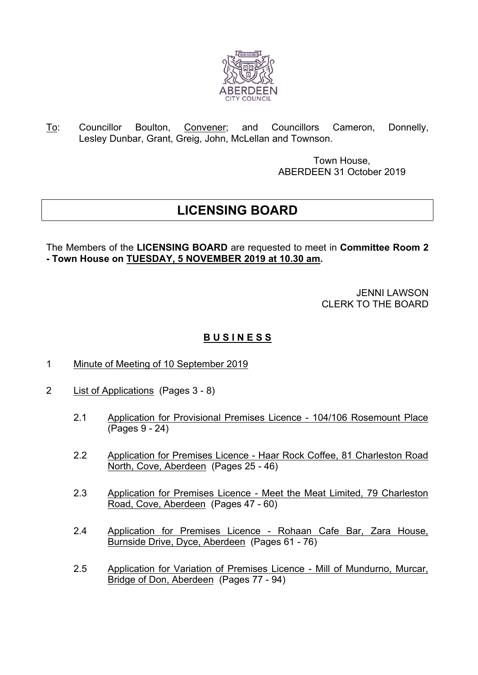

To: Councillor Boulton, Convener; and Councillors Cameron, Donnelly, Lesley Dunbar, Grant, Greig, John, McLellan and Townson.

> Town House, ABERDEEN 31 October 2019

## **LICENSING BOARD**

The Members of the **LICENSING BOARD** are requested to meet in **Committee Room 2 - Town House on TUESDAY, 5 NOVEMBER 2019 at 10.30 am.**

> JENNI LAWSON CLERK TO THE BOARD

## **B U S I N E S S**

- 1 Minute of Meeting of 10 September 2019
- 2 List of Applications (Pages 3 8)
	- 2.1 Application for Provisional Premises Licence 104/106 Rosemount Place (Pages 9 - 24)
	- 2.2 Application for Premises Licence Haar Rock Coffee, 81 Charleston Road North, Cove, Aberdeen (Pages 25 - 46)
	- 2.3 Application for Premises Licence Meet the Meat Limited, 79 Charleston Road, Cove, Aberdeen (Pages 47 - 60)
	- 2.4 Application for Premises Licence Rohaan Cafe Bar, Zara House, Burnside Drive, Dyce, Aberdeen (Pages 61 - 76)
	- 2.5 Application for Variation of Premises Licence Mill of Mundurno, Murcar, Bridge of Don, Aberdeen (Pages 77 - 94)